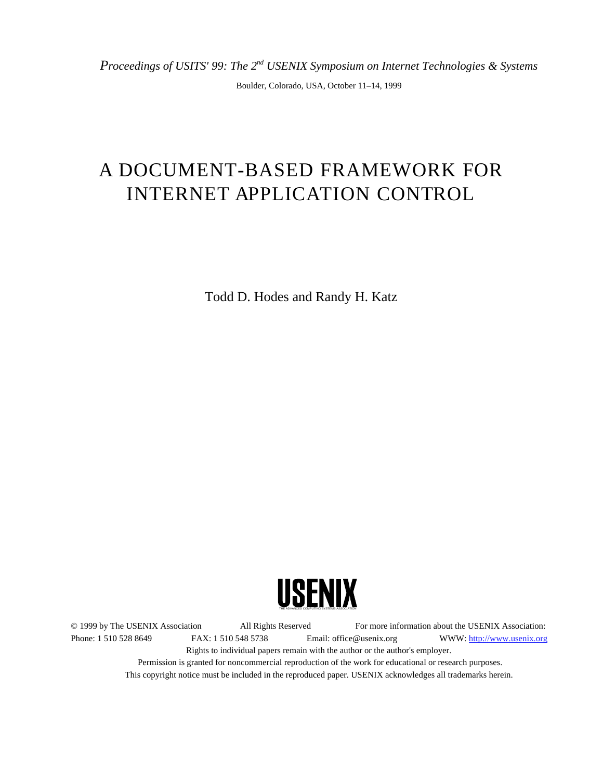*Proceedings of USITS' 99: The 2nd USENIX Symposium on Internet Technologies & Systems*

Boulder, Colorado, USA, October 11–14, 1999

# A DOCUMENT-BASED FRAMEWORK FOR INTERNET APPLICATION CONTROL

Todd D. Hodes and Randy H. Katz



© 1999 by The USENIX Association All Rights Reserved For more information about the USENIX Association: Phone: 1 510 528 8649 FAX: 1 510 548 5738 Email: office@usenix.org WWW: http://www.usenix.org Rights to individual papers remain with the author or the author's employer. Permission is granted for noncommercial reproduction of the work for educational or research purposes. This copyright notice must be included in the reproduced paper. USENIX acknowledges all trademarks herein.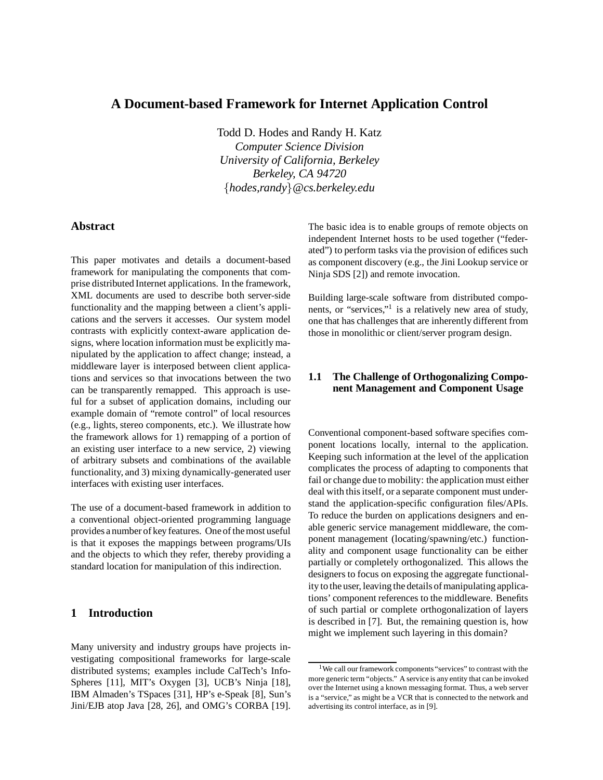## **A Document-based Framework for Internet Application Control**

Todd D. Hodes and Randy H. Katz

*Computer Science Division University of California, Berkeley Berkeley, CA 94720* f*hodes,randy*g*@cs.berkeley.edu*

#### **Abstract**

This paper motivates and details a document-based framework for manipulating the components that comprise distributed Internet applications. In the framework, XML documents are used to describe both server-side functionality and the mapping between a client's applications and the servers it accesses. Our system model contrasts with explicitly context-aware application designs, where location information must be explicitly manipulated by the application to affect change; instead, a middleware layer is interposed between client applications and services so that invocations between the two can be transparently remapped. This approach is useful for a subset of application domains, including our example domain of "remote control" of local resources (e.g., lights, stereo components, etc.). We illustrate how the framework allows for 1) remapping of a portion of an existing user interface to a new service, 2) viewing of arbitrary subsets and combinations of the available functionality, and 3) mixing dynamically-generated user interfaces with existing user interfaces.

The use of a document-based framework in addition to a conventional object-oriented programming language provides a number of key features. One of the most useful is that it exposes the mappings between programs/UIs and the objects to which they refer, thereby providing a standard location for manipulation of this indirection.

## **1 Introduction**

Many university and industry groups have projects investigating compositional frameworks for large-scale distributed systems; examples include CalTech's Info-Spheres [11], MIT's Oxygen [3], UCB's Ninja [18], IBM Almaden's TSpaces [31], HP's e-Speak [8], Sun's Jini/EJB atop Java [28, 26], and OMG's CORBA [19]. The basic idea is to enable groups of remote objects on independent Internet hosts to be used together ("federated") to perform tasks via the provision of edifices such as component discovery (e.g., the Jini Lookup service or Ninja SDS [2]) and remote invocation.

Building large-scale software from distributed components, or "services,"1 is a relatively new area of study, one that has challenges that are inherently different from those in monolithic or client/server program design.

## **1.1 The Challenge of Orthogonalizing Component Management and Component Usage**

Conventional component-based software specifies component locations locally, internal to the application. Keeping such information at the level of the application complicates the process of adapting to components that fail or change due to mobility: the application must either deal with this itself, or a separate component must understand the application-specific configuration files/APIs. To reduce the burden on applications designers and enable generic service management middleware, the component management (locating/spawning/etc.) functionality and component usage functionality can be either partially or completely orthogonalized. This allows the designers to focus on exposing the aggregate functionality to the user, leaving the details of manipulating applications' component references to the middleware. Benefits of such partial or complete orthogonalization of layers is described in [7]. But, the remaining question is, how might we implement such layering in this domain?

<sup>&</sup>lt;sup>1</sup>We call our framework components "services" to contrast with the more generic term "objects." A service is any entity that can be invoked over the Internet using a known messaging format. Thus, a web server is a "service," as might be a VCR that is connected to the network and advertising its control interface, as in [9].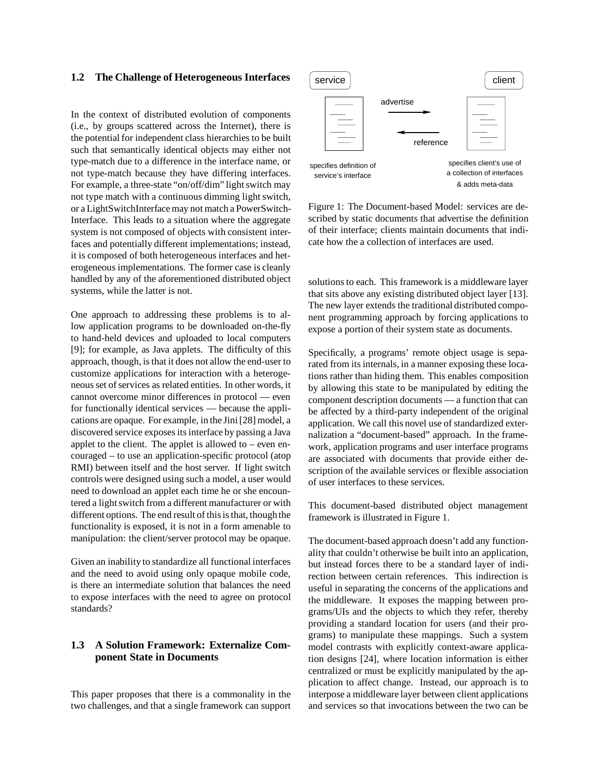#### **1.2 The Challenge of Heterogeneous Interfaces**

In the context of distributed evolution of components (i.e., by groups scattered across the Internet), there is the potential for independent class hierarchies to be built such that semantically identical objects may either not type-match due to a difference in the interface name, or not type-match because they have differing interfaces. For example, a three-state "on/off/dim" light switch may not type match with a continuous dimming light switch, or a LightSwitchInterface may not match a PowerSwitch-Interface. This leads to a situation where the aggregate system is not composed of objects with consistent interfaces and potentially different implementations; instead, it is composed of both heterogeneous interfaces and heterogeneous implementations. The former case is cleanly handled by any of the aforementioned distributed object systems, while the latter is not.

One approach to addressing these problems is to allow application programs to be downloaded on-the-fly to hand-held devices and uploaded to local computers [9]; for example, as Java applets. The difficulty of this approach, though, is that it does not allow the end-user to customize applications for interaction with a heterogeneous set of services as related entities. In other words, it cannot overcome minor differences in protocol — even for functionally identical services — because the applications are opaque. For example, in the Jini [28] model, a discovered service exposes its interface by passing a Java applet to the client. The applet is allowed to – even encouraged – to use an application-specific protocol (atop RMI) between itself and the host server. If light switch controls were designed using such a model, a user would need to download an applet each time he or she encountered a light switch from a different manufacturer or with different options. The end result of this is that, thoughthe functionality is exposed, it is not in a form amenable to manipulation: the client/server protocol may be opaque.

Given an inability to standardize all functional interfaces and the need to avoid using only opaque mobile code, is there an intermediate solution that balances the need to expose interfaces with the need to agree on protocol standards?

### **1.3 A Solution Framework: Externalize Component State in Documents**

This paper proposes that there is a commonality in the two challenges, and that a single framework can support



Figure 1: The Document-based Model: services are described by static documents that advertise the definition of their interface; clients maintain documents that indicate how the a collection of interfaces are used.

solutions to each. This framework is a middleware layer that sits above any existing distributed object layer [13]. The new layer extends the traditional distributed component programming approach by forcing applications to expose a portion of their system state as documents.

Specifically, a programs' remote object usage is separated from its internals, in a manner exposing these locations rather than hiding them. This enables composition by allowing this state to be manipulated by editing the component description documents — a function that can be affected by a third-party independent of the original application. We call this novel use of standardized externalization a "document-based" approach. In the framework, application programs and user interface programs are associated with documents that provide either description of the available services or flexible association of user interfaces to these services.

This document-based distributed object management framework is illustrated in Figure 1.

The document-based approach doesn't add any functionality that couldn't otherwise be built into an application, but instead forces there to be a standard layer of indirection between certain references. This indirection is useful in separating the concerns of the applications and the middleware. It exposes the mapping between programs/UIs and the objects to which they refer, thereby providing a standard location for users (and their programs) to manipulate these mappings. Such a system model contrasts with explicitly context-aware application designs [24], where location information is either centralized or must be explicitly manipulated by the application to affect change. Instead, our approach is to interpose a middleware layer between client applications and services so that invocations between the two can be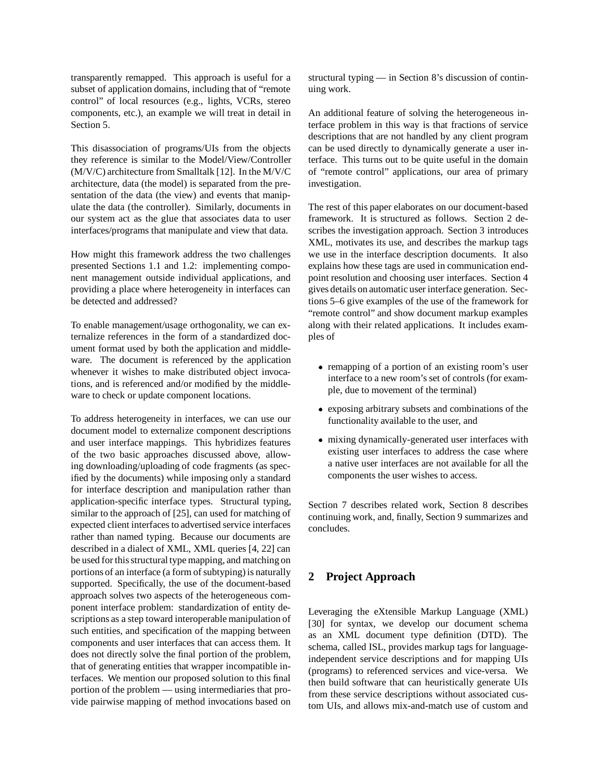transparently remapped. This approach is useful for a subset of application domains, including that of "remote control" of local resources (e.g., lights, VCRs, stereo components, etc.), an example we will treat in detail in Section 5.

This disassociation of programs/UIs from the objects they reference is similar to the Model/View/Controller (M/V/C) architecture from Smalltalk [12]. In the M/V/C architecture, data (the model) is separated from the presentation of the data (the view) and events that manipulate the data (the controller). Similarly, documents in our system act as the glue that associates data to user interfaces/programs that manipulate and view that data.

How might this framework address the two challenges presented Sections 1.1 and 1.2: implementing component management outside individual applications, and providing a place where heterogeneity in interfaces can be detected and addressed?

To enable management/usage orthogonality, we can externalize references in the form of a standardized document format used by both the application and middleware. The document is referenced by the application whenever it wishes to make distributed object invocations, and is referenced and/or modified by the middleware to check or update component locations.

To address heterogeneity in interfaces, we can use our document model to externalize component descriptions and user interface mappings. This hybridizes features of the two basic approaches discussed above, allowing downloading/uploading of code fragments (as specified by the documents) while imposing only a standard for interface description and manipulation rather than application-specific interface types. Structural typing, similar to the approach of [25], can used for matching of expected client interfaces to advertised service interfaces rather than named typing. Because our documents are described in a dialect of XML, XML queries [4, 22] can be used for this structural type mapping, and matching on portions of an interface (a form of subtyping) is naturally supported. Specifically, the use of the document-based approach solves two aspects of the heterogeneous component interface problem: standardization of entity descriptions as a step toward interoperable manipulation of such entities, and specification of the mapping between components and user interfaces that can access them. It does not directly solve the final portion of the problem, that of generating entities that wrapper incompatible interfaces. We mention our proposed solution to this final portion of the problem — using intermediaries that provide pairwise mapping of method invocations based on structural typing — in Section 8's discussion of continuing work.

An additional feature of solving the heterogeneous interface problem in this way is that fractions of service descriptions that are not handled by any client program can be used directly to dynamically generate a user interface. This turns out to be quite useful in the domain of "remote control" applications, our area of primary investigation.

The rest of this paper elaborates on our document-based framework. It is structured as follows. Section 2 describes the investigation approach. Section 3 introduces XML, motivates its use, and describes the markup tags we use in the interface description documents. It also explains how these tags are used in communication endpoint resolution and choosing user interfaces. Section 4 gives details on automatic user interface generation. Sections 5–6 give examples of the use of the framework for "remote control" and show document markup examples along with their related applications. It includes examples of

- remapping of a portion of an existing room's user interface to a new room's set of controls (for example, due to movement of the terminal)
- exposing arbitrary subsets and combinations of the functionality available to the user, and
- mixing dynamically-generated user interfaces with existing user interfaces to address the case where a native user interfaces are not available for all the components the user wishes to access.

Section 7 describes related work, Section 8 describes continuing work, and, finally, Section 9 summarizes and concludes.

## **2 Project Approach**

Leveraging the eXtensible Markup Language (XML) [30] for syntax, we develop our document schema as an XML document type definition (DTD). The schema, called ISL, provides markup tags for languageindependent service descriptions and for mapping UIs (programs) to referenced services and vice-versa. We then build software that can heuristically generate UIs from these service descriptions without associated custom UIs, and allows mix-and-match use of custom and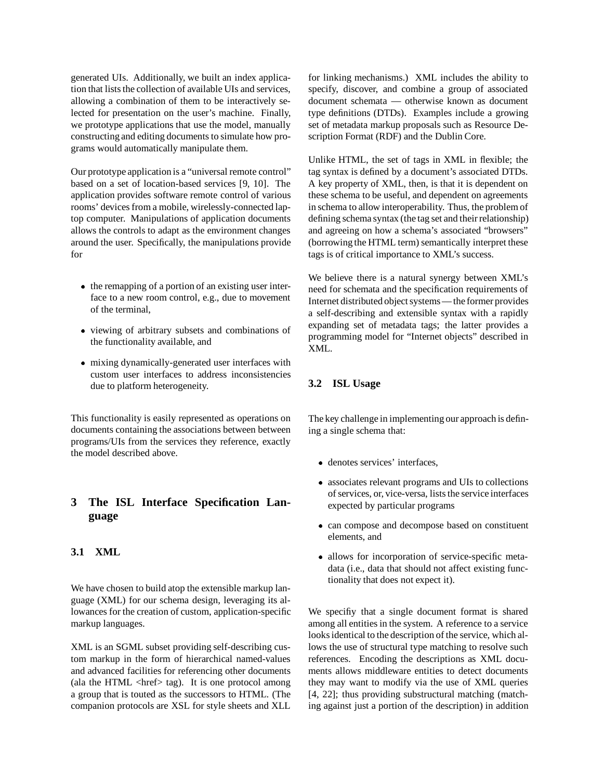generated UIs. Additionally, we built an index application that lists the collection of available UIs and services, allowing a combination of them to be interactively selected for presentation on the user's machine. Finally, we prototype applications that use the model, manually constructing and editing documents to simulate how programs would automatically manipulate them.

Our prototype application is a "universal remote control" based on a set of location-based services [9, 10]. The application provides software remote control of various rooms' devices from a mobile, wirelessly-connected laptop computer. Manipulations of application documents allows the controls to adapt as the environment changes around the user. Specifically, the manipulations provide for

- the remapping of a portion of an existing user interface to a new room control, e.g., due to movement of the terminal,
- viewing of arbitrary subsets and combinations of the functionality available, and
- mixing dynamically-generated user interfaces with custom user interfaces to address inconsistencies due to platform heterogeneity.

This functionality is easily represented as operations on documents containing the associations between between programs/UIs from the services they reference, exactly the model described above.

## **3 The ISL Interface Specification Language**

## **3.1 XML**

We have chosen to build atop the extensible markup language (XML) for our schema design, leveraging its allowances for the creation of custom, application-specific markup languages.

XML is an SGML subset providing self-describing custom markup in the form of hierarchical named-values and advanced facilities for referencing other documents (ala the HTML  $\langle$ href $>$  tag). It is one protocol among a group that is touted as the successors to HTML. (The companion protocols are XSL for style sheets and XLL for linking mechanisms.) XML includes the ability to specify, discover, and combine a group of associated document schemata — otherwise known as document type definitions (DTDs). Examples include a growing set of metadata markup proposals such as Resource Description Format (RDF) and the Dublin Core.

Unlike HTML, the set of tags in XML in flexible; the tag syntax is defined by a document's associated DTDs. A key property of XML, then, is that it is dependent on these schema to be useful, and dependent on agreements in schema to allow interoperability. Thus, the problem of defining schema syntax (the tag set and their relationship) and agreeing on how a schema's associated "browsers" (borrowing the HTML term) semantically interpret these tags is of critical importance to XML's success.

We believe there is a natural synergy between XML's need for schemata and the specification requirements of Internet distributed object systems — the former provides a self-describing and extensible syntax with a rapidly expanding set of metadata tags; the latter provides a programming model for "Internet objects" described in XML.

#### **3.2 ISL Usage**

The key challenge in implementing our approach is defining a single schema that:

- denotes services' interfaces,
- associates relevant programs and UIs to collections of services, or, vice-versa, lists the service interfaces expected by particular programs
- can compose and decompose based on constituent elements, and
- allows for incorporation of service-specific metadata (i.e., data that should not affect existing functionality that does not expect it).

We specifiy that a single document format is shared among all entities in the system. A reference to a service looks identical to the description of the service, which allows the use of structural type matching to resolve such references. Encoding the descriptions as XML documents allows middleware entities to detect documents they may want to modify via the use of XML queries [4, 22]; thus providing substructural matching (matching against just a portion of the description) in addition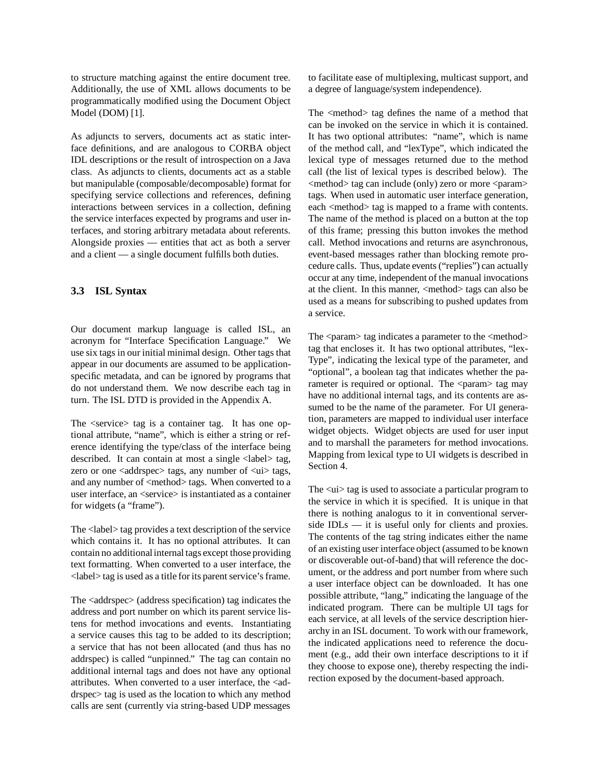to structure matching against the entire document tree. Additionally, the use of XML allows documents to be programmatically modified using the Document Object Model (DOM) [1].

As adjuncts to servers, documents act as static interface definitions, and are analogous to CORBA object IDL descriptions or the result of introspection on a Java class. As adjuncts to clients, documents act as a stable but manipulable (composable/decomposable) format for specifying service collections and references, defining interactions between services in a collection, defining the service interfaces expected by programs and user interfaces, and storing arbitrary metadata about referents. Alongside proxies — entities that act as both a server and a client — a single document fulfills both duties.

#### **3.3 ISL Syntax**

Our document markup language is called ISL, an acronym for "Interface Specification Language." We use six tags in our initial minimal design. Other tags that appear in our documents are assumed to be applicationspecific metadata, and can be ignored by programs that do not understand them. We now describe each tag in turn. The ISL DTD is provided in the Appendix A.

The <service> tag is a container tag. It has one optional attribute, "name", which is either a string or reference identifying the type/class of the interface being described. It can contain at most a single <label> tag, zero or one  $\langle \text{address}, \text{args} \rangle$  tags, any number of  $\langle \text{u} \rangle$  tags, and any number of <method> tags. When converted to a user interface, an <service> is instantiated as a container for widgets (a "frame").

The <label> tag provides a text description of the service which contains it. It has no optional attributes. It can contain no additional internal tags except those providing text formatting. When converted to a user interface, the <label> tag is used as a title for its parent service's frame.

The <addrspec> (address specification) tag indicates the address and port number on which its parent service listens for method invocations and events. Instantiating a service causes this tag to be added to its description; a service that has not been allocated (and thus has no addrspec) is called "unpinned." The tag can contain no additional internal tags and does not have any optional attributes. When converted to a user interface, the  $\leq$ addrspec> tag is used as the location to which any method calls are sent (currently via string-based UDP messages

to facilitate ease of multiplexing, multicast support, and a degree of language/system independence).

The <method> tag defines the name of a method that can be invoked on the service in which it is contained. It has two optional attributes: "name", which is name of the method call, and "lexType", which indicated the lexical type of messages returned due to the method call (the list of lexical types is described below). The <method> tag can include (only) zero or more <param> tags. When used in automatic user interface generation, each <method> tag is mapped to a frame with contents. The name of the method is placed on a button at the top of this frame; pressing this button invokes the method call. Method invocations and returns are asynchronous, event-based messages rather than blocking remote procedure calls. Thus, update events ("replies") can actually occur at any time, independent of the manual invocations at the client. In this manner, <method> tags can also be used as a means for subscribing to pushed updates from a service.

The  $\epsilon$  param $>$  tag indicates a parameter to the  $\epsilon$  method $>$ tag that encloses it. It has two optional attributes, "lex-Type", indicating the lexical type of the parameter, and "optional", a boolean tag that indicates whether the parameter is required or optional. The <param> tag may have no additional internal tags, and its contents are assumed to be the name of the parameter. For UI generation, parameters are mapped to individual user interface widget objects. Widget objects are used for user input and to marshall the parameters for method invocations. Mapping from lexical type to UI widgets is described in Section 4.

The  $\langle u \rangle$  tag is used to associate a particular program to the service in which it is specified. It is unique in that there is nothing analogus to it in conventional serverside IDLs — it is useful only for clients and proxies. The contents of the tag string indicates either the name of an existing user interface object (assumed to be known or discoverable out-of-band) that will reference the document, or the address and port number from where such a user interface object can be downloaded. It has one possible attribute, "lang," indicating the language of the indicated program. There can be multiple UI tags for each service, at all levels of the service description hierarchy in an ISL document. To work with our framework, the indicated applications need to reference the document (e.g., add their own interface descriptions to it if they choose to expose one), thereby respecting the indirection exposed by the document-based approach.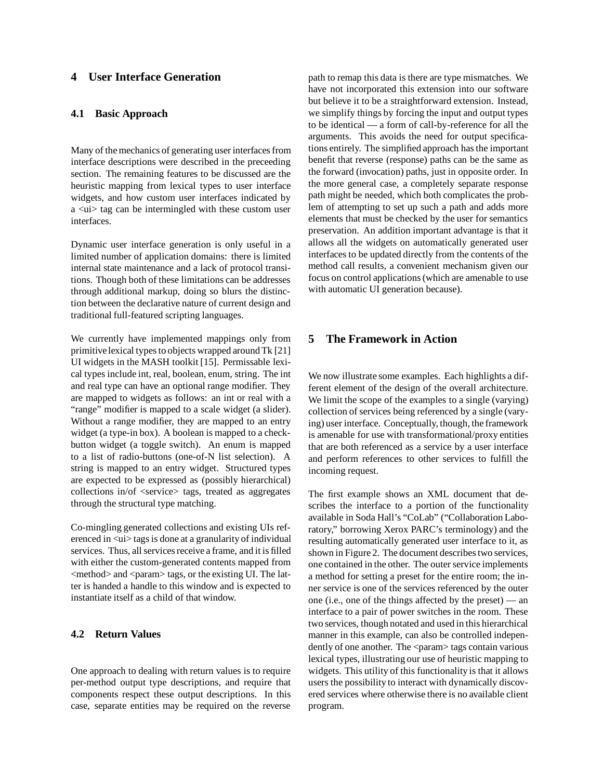## **4 User Interface Generation**

#### **4.1 Basic Approach**

Many of the mechanics of generating user interfaces from interface descriptions were described in the preceeding section. The remaining features to be discussed are the heuristic mapping from lexical types to user interface widgets, and how custom user interfaces indicated by a <ui> tag can be intermingled with these custom user interfaces.

Dynamic user interface generation is only useful in a limited number of application domains: there is limited internal state maintenance and a lack of protocol transitions. Though both of these limitations can be addresses through additional markup, doing so blurs the distinction between the declarative nature of current design and traditional full-featured scripting languages.

We currently have implemented mappings only from primitive lexical types to objects wrapped around Tk [21] UI widgets in the MASH toolkit [15]. Permissable lexical types include int, real, boolean, enum, string. The int and real type can have an optional range modifier. They are mapped to widgets as follows: an int or real with a "range" modifier is mapped to a scale widget (a slider). Without a range modifier, they are mapped to an entry widget (a type-in box). A boolean is mapped to a checkbutton widget (a toggle switch). An enum is mapped to a list of radio-buttons (one-of-N list selection). A string is mapped to an entry widget. Structured types are expected to be expressed as (possibly hierarchical) collections in/of <service> tags, treated as aggregates through the structural type matching.

Co-mingling generated collections and existing UIs referenced in <ui> tags is done at a granularity of individual services. Thus, all services receive a frame, and it is filled with either the custom-generated contents mapped from  $\leq$ method $>$  and  $\leq$ param $>$  tags, or the existing UI. The latter is handed a handle to this window and is expected to instantiate itself as a child of that window.

#### **4.2 Return Values**

One approach to dealing with return values is to require per-method output type descriptions, and require that components respect these output descriptions. In this case, separate entities may be required on the reverse path to remap this data is there are type mismatches. We have not incorporated this extension into our software but believe it to be a straightforward extension. Instead, we simplify things by forcing the input and output types to be identical — a form of call-by-reference for all the arguments. This avoids the need for output specifications entirely. The simplified approach has the important benefit that reverse (response) paths can be the same as the forward (invocation) paths, just in opposite order. In the more general case, a completely separate response path might be needed, which both complicates the problem of attempting to set up such a path and adds more elements that must be checked by the user for semantics preservation. An addition important advantage is that it allows all the widgets on automatically generated user interfaces to be updated directly from the contents of the method call results, a convenient mechanism given our focus on control applications (which are amenable to use with automatic UI generation because).

## **5 The Framework in Action**

We now illustrate some examples. Each highlights a different element of the design of the overall architecture. We limit the scope of the examples to a single (varying) collection of services being referenced by a single (varying) user interface. Conceptually, though, the framework is amenable for use with transformational/proxy entities that are both referenced as a service by a user interface and perform references to other services to fulfill the incoming request.

The first example shows an XML document that describes the interface to a portion of the functionality available in Soda Hall's "CoLab" ("Collaboration Laboratory," borrowing Xerox PARC's terminology) and the resulting automatically generated user interface to it, as shown in Figure 2. The document describes two services, one contained in the other. The outer service implements a method for setting a preset for the entire room; the inner service is one of the services referenced by the outer one (i.e., one of the things affected by the preset) — an interface to a pair of power switches in the room. These two services, though notated and used in this hierarchical manner in this example, can also be controlled independently of one another. The <param> tags contain various lexical types, illustrating our use of heuristic mapping to widgets. This utility of this functionality is that it allows users the possibility to interact with dynamically discovered services where otherwise there is no available client program.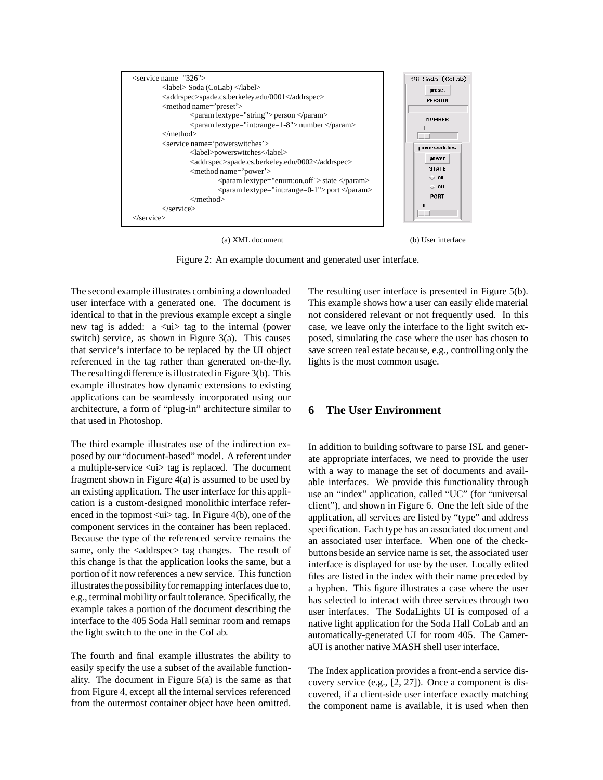

(a) XML document (b) User interface

Figure 2: An example document and generated user interface.

The second example illustrates combining a downloaded user interface with a generated one. The document is identical to that in the previous example except a single new tag is added: a <ui> tag to the internal (power switch) service, as shown in Figure 3(a). This causes that service's interface to be replaced by the UI object referenced in the tag rather than generated on-the-fly. The resulting difference is illustrated in Figure 3(b). This example illustrates how dynamic extensions to existing applications can be seamlessly incorporated using our architecture, a form of "plug-in" architecture similar to that used in Photoshop.

The third example illustrates use of the indirection exposed by our "document-based" model. A referent under a multiple-service  $\langle u \rangle$  tag is replaced. The document fragment shown in Figure 4(a) is assumed to be used by an existing application. The user interface for this application is a custom-designed monolithic interface referenced in the topmost  $\langle ui \rangle$  tag. In Figure 4(b), one of the component services in the container has been replaced. Because the type of the referenced service remains the same, only the <addrspec> tag changes. The result of this change is that the application looks the same, but a portion of it now references a new service. This function illustrates the possibility for remapping interfaces due to, e.g., terminal mobility or fault tolerance. Specifically, the example takes a portion of the document describing the interface to the 405 Soda Hall seminar room and remaps the light switch to the one in the CoLab.

The fourth and final example illustrates the ability to easily specify the use a subset of the available functionality. The document in Figure 5(a) is the same as that from Figure 4, except all the internal services referenced from the outermost container object have been omitted.

The resulting user interface is presented in Figure 5(b). This example shows how a user can easily elide material not considered relevant or not frequently used. In this case, we leave only the interface to the light switch exposed, simulating the case where the user has chosen to save screen real estate because, e.g., controlling only the lights is the most common usage.

#### **6 The User Environment**

In addition to building software to parse ISL and generate appropriate interfaces, we need to provide the user with a way to manage the set of documents and available interfaces. We provide this functionality through use an "index" application, called "UC" (for "universal client"), and shown in Figure 6. One the left side of the application, all services are listed by "type" and address specification. Each type has an associated document and an associated user interface. When one of the checkbuttons beside an service name is set, the associated user interface is displayed for use by the user. Locally edited files are listed in the index with their name preceded by a hyphen. This figure illustrates a case where the user has selected to interact with three services through two user interfaces. The SodaLights UI is composed of a native light application for the Soda Hall CoLab and an automatically-generated UI for room 405. The CameraUI is another native MASH shell user interface.

The Index application provides a front-end a service discovery service (e.g., [2, 27]). Once a component is discovered, if a client-side user interface exactly matching the component name is available, it is used when then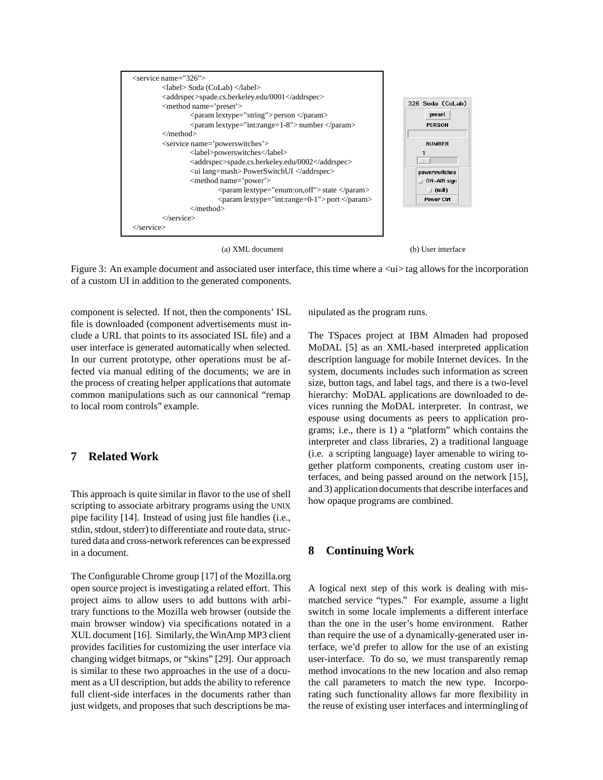

(a) XML document (b) User interface

Figure 3: An example document and associated user interface, this time where  $a \langle u \rangle$  tag allows for the incorporation of a custom UI in addition to the generated components.

component is selected. If not, then the components' ISL file is downloaded (component advertisements must include a URL that points to its associated ISL file) and a user interface is generated automatically when selected. In our current prototype, other operations must be affected via manual editing of the documents; we are in the process of creating helper applications that automate common manipulations such as our cannonical "remap to local room controls" example.

## **7 Related Work**

This approach is quite similar in flavor to the use of shell scripting to associate arbitrary programs using the UNIX pipe facility [14]. Instead of using just file handles (i.e., stdin, stdout, stderr) to differentiate and route data, structured data and cross-network references can be expressed in a document.

The Configurable Chrome group [17] of the Mozilla.org open source project is investigating a related effort. This project aims to allow users to add buttons with arbitrary functions to the Mozilla web browser (outside the main browser window) via specifications notated in a XUL document [16]. Similarly, the WinAmp MP3 client provides facilities for customizing the user interface via changing widget bitmaps, or "skins" [29]. Our approach is similar to these two approaches in the use of a document as a UI description, but adds the ability to reference full client-side interfaces in the documents rather than just widgets, and proposes that such descriptions be manipulated as the program runs.

The TSpaces project at IBM Almaden had proposed MoDAL [5] as an XML-based interpreted application description language for mobile Internet devices. In the system, documents includes such information as screen size, button tags, and label tags, and there is a two-level hierarchy: MoDAL applications are downloaded to devices running the MoDAL interpreter. In contrast, we espouse using documents as peers to application programs; i.e., there is 1) a "platform" which contains the interpreter and class libraries, 2) a traditional language (i.e. a scripting language) layer amenable to wiring together platform components, creating custom user interfaces, and being passed around on the network [15], and 3) application documents that describe interfaces and how opaque programs are combined.

## **8 Continuing Work**

A logical next step of this work is dealing with mismatched service "types." For example, assume a light switch in some locale implements a different interface than the one in the user's home environment. Rather than require the use of a dynamically-generated user interface, we'd prefer to allow for the use of an existing user-interface. To do so, we must transparently remap method invocations to the new location and also remap the call parameters to match the new type. Incorporating such functionality allows far more flexibility in the reuse of existing user interfaces and intermingling of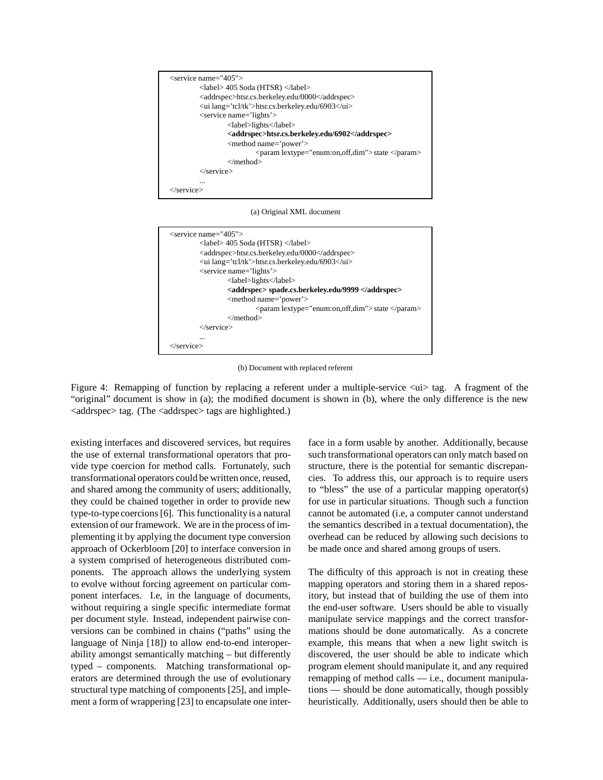

(a) Original XML document



(b) Document with replaced referent

Figure 4: Remapping of function by replacing a referent under a multiple-service  $\langle u \rangle$  tag. A fragment of the "original" document is show in (a); the modified document is shown in (b), where the only difference is the new <addrspec> tag. (The <addrspec> tags are highlighted.)

existing interfaces and discovered services, but requires the use of external transformational operators that provide type coercion for method calls. Fortunately, such transformational operators could be written once, reused, and shared among the community of users; additionally, they could be chained together in order to provide new type-to-type coercions [6]. This functionalityis a natural extension of our framework. We are in the process of implementing it by applying the document type conversion approach of Ockerbloom [20] to interface conversion in a system comprised of heterogeneous distributed components. The approach allows the underlying system to evolve without forcing agreement on particular component interfaces. I.e, in the language of documents, without requiring a single specific intermediate format per document style. Instead, independent pairwise conversions can be combined in chains ("paths" using the language of Ninja [18]) to allow end-to-end interoperability amongst semantically matching – but differently typed – components. Matching transformational operators are determined through the use of evolutionary structural type matching of components [25], and implement a form of wrappering [23] to encapsulate one interface in a form usable by another. Additionally, because such transformational operators can only match based on structure, there is the potential for semantic discrepancies. To address this, our approach is to require users to "bless" the use of a particular mapping operator(s) for use in particular situations. Though such a function cannot be automated (i.e, a computer cannot understand the semantics described in a textual documentation), the overhead can be reduced by allowing such decisions to be made once and shared among groups of users.

The difficulty of this approach is not in creating these mapping operators and storing them in a shared repository, but instead that of building the use of them into the end-user software. Users should be able to visually manipulate service mappings and the correct transformations should be done automatically. As a concrete example, this means that when a new light switch is discovered, the user should be able to indicate which program element should manipulate it, and any required remapping of method calls — i.e., document manipulations — should be done automatically, though possibly heuristically. Additionally, users should then be able to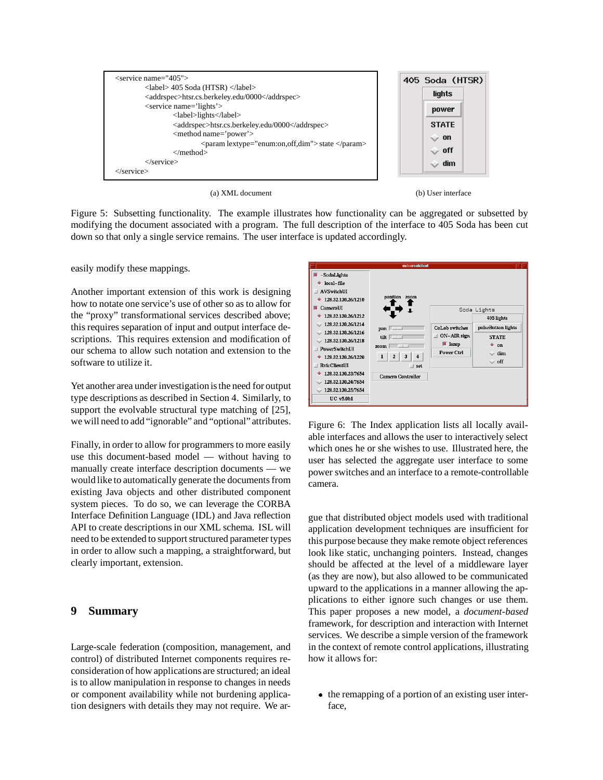

(a) XML document (b) User interface



Figure 5: Subsetting functionality. The example illustrates how functionality can be aggregated or subsetted by modifying the document associated with a program. The full description of the interface to 405 Soda has been cut down so that only a single service remains. The user interface is updated accordingly.

easily modify these mappings.

Another important extension of this work is designing how to notate one service's use of other so as to allow for the "proxy" transformational services described above; this requires separation of input and output interface descriptions. This requires extension and modification of our schema to allow such notation and extension to the software to utilize it.

Yet another area under investigation is the need for output type descriptions as described in Section 4. Similarly, to support the evolvable structural type matching of [25], we will need to add "ignorable" and "optional" attributes.

Finally, in order to allow for programmers to more easily use this document-based model — without having to manually create interface description documents — we would like to automatically generate the documents from existing Java objects and other distributed component system pieces. To do so, we can leverage the CORBA Interface Definition Language (IDL) and Java reflection API to create descriptions in our XML schema. ISL will need to be extended to support structured parameter types in order to allow such a mapping, a straightforward, but clearly important, extension.

#### **9 Summary**

Large-scale federation (composition, management, and control) of distributed Internet components requires reconsideration of how applications are structured; an ideal is to allow manipulation in response to changes in needs or component availability while not burdening application designers with details they may not require. We ar-

| universalclient                                                                                                                                                                                            |                                                                                                                    |                                                                           |                                                                                                              |
|------------------------------------------------------------------------------------------------------------------------------------------------------------------------------------------------------------|--------------------------------------------------------------------------------------------------------------------|---------------------------------------------------------------------------|--------------------------------------------------------------------------------------------------------------|
| -SodaLights<br>local-file<br>AVSwitchUI<br>128.32.130.26/1210                                                                                                                                              | position<br><b>zoom</b>                                                                                            |                                                                           |                                                                                                              |
| CameraUI<br>128.32.130.26/1212<br>128.32.130.26/1214<br>128.32.130.26/1216<br>128.32.130.26/1218<br>PowerSwitchUI<br>128.32.130.26/1220<br><b>RvicClientUI</b><br>128.32.130.23/7654<br>128.32.130.24/7654 | $pan$ $\Box$<br>tilt $\Box$<br><b>200m</b><br>$\overline{a}$<br>3<br>4<br>$\equiv$ set<br><b>Camera Controller</b> | <b>CoLab</b> switches<br>ON-AIR sign<br>$\blacksquare$ lamp<br>Power Ctrl | Soda Lights<br>405 lights<br>pulseButton lights<br><b>STATE</b><br>۰<br>$_{on}$<br>$\sim$ dim<br>$\circ$ off |
| 128.32.130.25/7654<br>$UC$ v5.0b1                                                                                                                                                                          |                                                                                                                    |                                                                           |                                                                                                              |

Figure 6: The Index application lists all locally available interfaces and allows the user to interactively select which ones he or she wishes to use. Illustrated here, the user has selected the aggregate user interface to some power switches and an interface to a remote-controllable camera.

gue that distributed object models used with traditional application development techniques are insufficient for this purpose because they make remote object references look like static, unchanging pointers. Instead, changes should be affected at the level of a middleware layer (as they are now), but also allowed to be communicated upward to the applications in a manner allowing the applications to either ignore such changes or use them. This paper proposes a new model, a *document-based* framework, for description and interaction with Internet services. We describe a simple version of the framework in the context of remote control applications, illustrating how it allows for:

• the remapping of a portion of an existing user interface,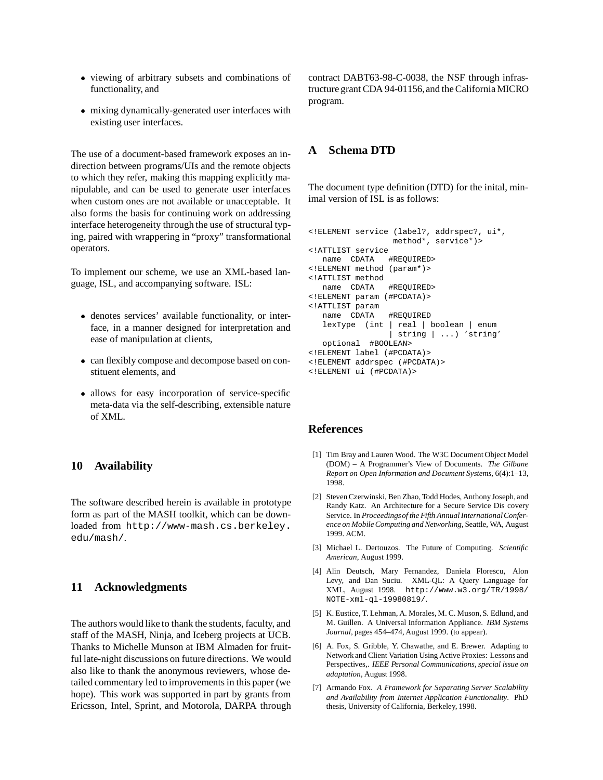- viewing of arbitrary subsets and combinations of functionality, and
- mixing dynamically-generated user interfaces with existing user interfaces.

The use of a document-based framework exposes an indirection between programs/UIs and the remote objects to which they refer, making this mapping explicitly manipulable, and can be used to generate user interfaces when custom ones are not available or unacceptable. It also forms the basis for continuing work on addressing interface heterogeneity through the use of structural typing, paired with wrappering in "proxy" transformational operators.

To implement our scheme, we use an XML-based language, ISL, and accompanying software. ISL:

- denotes services' available functionality, or interface, in a manner designed for interpretation and ease of manipulation at clients,
- can flexibly compose and decompose based on constituent elements, and
- allows for easy incorporation of service-specific meta-data via the self-describing, extensible nature of XML.

#### **10 Availability**

The software described herein is available in prototype form as part of the MASH toolkit, which can be downloaded from http://www-mash.cs.berkeley. edu/mash/.

#### **11 Acknowledgments**

The authors would like to thank the students, faculty, and staff of the MASH, Ninja, and Iceberg projects at UCB. Thanks to Michelle Munson at IBM Almaden for fruitful late-night discussions on future directions. We would also like to thank the anonymous reviewers, whose detailed commentary led to improvements in this paper (we hope). This work was supported in part by grants from Ericsson, Intel, Sprint, and Motorola, DARPA through contract DABT63-98-C-0038, the NSF through infrastructure grant CDA 94-01156,and the California MICRO program.

#### **A Schema DTD**

The document type definition (DTD) for the inital, minimal version of ISL is as follows:

```
<!ELEMENT service (label?, addrspec?, ui*,
                 method*, service*)>
<!ATTLIST service
  name CDATA #REQUIRED>
<!ELEMENT method (param*)>
<!ATTLIST method
  name CDATA #REQUIRED>
<!ELEMENT param (#PCDATA)>
<!ATTLIST param
  name CDATA #REQUIRED
  lexType (int | real | boolean | enum
                | string | ...) 'string'
  optional #BOOLEAN>
<!ELEMENT label (#PCDATA)>
<!ELEMENT addrspec (#PCDATA)>
<!ELEMENT ui (#PCDATA)>
```
## **References**

- [1] Tim Bray and Lauren Wood. The W3C Document Object Model (DOM) – A Programmer's View of Documents. *The Gilbane Report on Open Information and Document Systems*, 6(4):1–13, 1998.
- [2] Steven Czerwinski, Ben Zhao, Todd Hodes, Anthony Joseph, and Randy Katz. An Architecture for a Secure Service Dis covery Service. In *Proceedingsof the Fifth Annual InternationalConference on Mobile Computing and Networking*, Seattle, WA, August 1999. ACM.
- [3] Michael L. Dertouzos. The Future of Computing. *Scientific American*, August 1999.
- [4] Alin Deutsch, Mary Fernandez, Daniela Florescu, Alon Levy, and Dan Suciu. XML-QL: A Query Language for XML, August 1998. http://www.w3.org/TR/1998/ NOTE-xml-ql-19980819/.
- [5] K. Eustice, T. Lehman, A. Morales, M. C. Muson, S. Edlund, and M. Guillen. A Universal Information Appliance. *IBM Systems Journal*, pages 454–474, August 1999. (to appear).
- [6] A. Fox, S. Gribble, Y. Chawathe, and E. Brewer. Adapting to Network and Client Variation Using Active Proxies: Lessons and Perspectives,. *IEEE Personal Communications, special issue on adaptation*, August 1998.
- [7] Armando Fox. *A Framework for Separating Server Scalability and Availability from Internet Application Functionality*. PhD thesis, University of California, Berkeley, 1998.